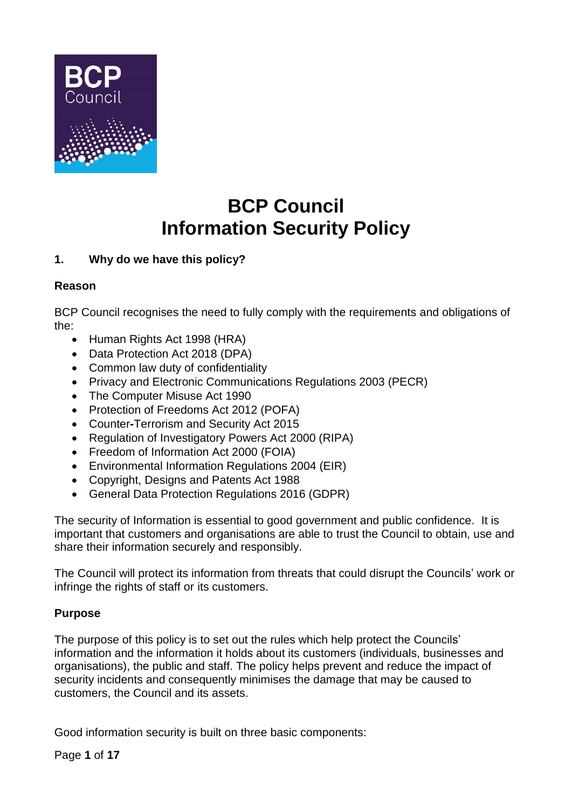

# **BCP Council Information Security Policy**

# **1. Why do we have this policy?**

# **Reason**

BCP Council recognises the need to fully comply with the requirements and obligations of the:

- Human Rights Act 1998 (HRA)
- Data Protection Act 2018 (DPA)
- Common law duty of confidentiality
- Privacy and Electronic Communications Regulations 2003 (PECR)
- The Computer Misuse Act 1990
- Protection of Freedoms Act 2012 (POFA)
- Counter**-**Terrorism and Security Act 2015
- Regulation of Investigatory Powers Act 2000 (RIPA)
- Freedom of Information Act 2000 (FOIA)
- Environmental Information Regulations 2004 (EIR)
- Copyright, Designs and Patents Act 1988
- General Data Protection Regulations 2016 (GDPR)

The security of Information is essential to good government and public confidence. It is important that customers and organisations are able to trust the Council to obtain, use and share their information securely and responsibly.

The Council will protect its information from threats that could disrupt the Councils' work or infringe the rights of staff or its customers.

# **Purpose**

The purpose of this policy is to set out the rules which help protect the Councils' information and the information it holds about its customers (individuals, businesses and organisations), the public and staff. The policy helps prevent and reduce the impact of security incidents and consequently minimises the damage that may be caused to customers, the Council and its assets.

Good information security is built on three basic components:

Page **1** of **17**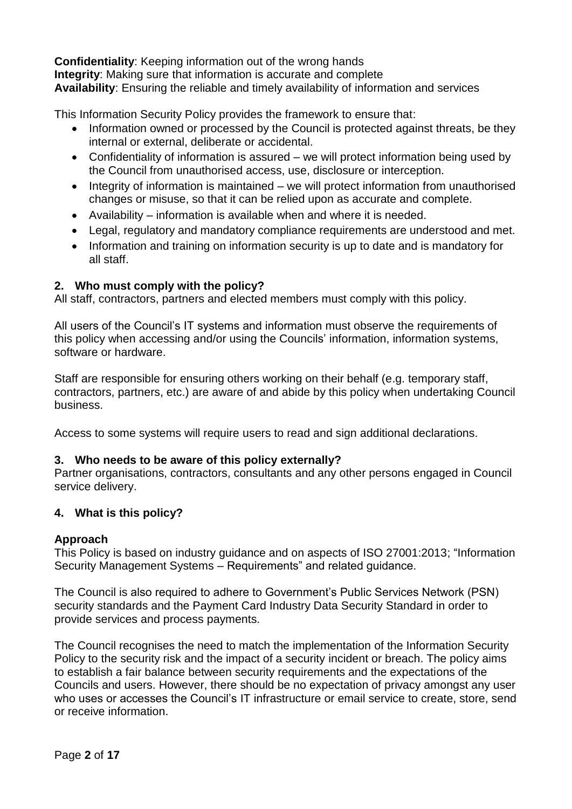**Confidentiality**: Keeping information out of the wrong hands **Integrity**: Making sure that information is accurate and complete **Availability**: Ensuring the reliable and timely availability of information and services

This Information Security Policy provides the framework to ensure that:

- Information owned or processed by the Council is protected against threats, be they internal or external, deliberate or accidental.
- Confidentiality of information is assured we will protect information being used by the Council from unauthorised access, use, disclosure or interception.
- Integrity of information is maintained we will protect information from unauthorised changes or misuse, so that it can be relied upon as accurate and complete.
- Availability information is available when and where it is needed.
- Legal, regulatory and mandatory compliance requirements are understood and met.
- Information and training on information security is up to date and is mandatory for all staff.

# **2. Who must comply with the policy?**

All staff, contractors, partners and elected members must comply with this policy.

All users of the Council's IT systems and information must observe the requirements of this policy when accessing and/or using the Councils' information, information systems, software or hardware.

Staff are responsible for ensuring others working on their behalf (e.g. temporary staff, contractors, partners, etc.) are aware of and abide by this policy when undertaking Council business.

Access to some systems will require users to read and sign additional declarations.

# **3. Who needs to be aware of this policy externally?**

Partner organisations, contractors, consultants and any other persons engaged in Council service delivery.

# **4. What is this policy?**

# **Approach**

This Policy is based on industry guidance and on aspects of ISO 27001:2013; "Information Security Management Systems – Requirements" and related guidance.

The Council is also required to adhere to Government's Public Services Network (PSN) security standards and the Payment Card Industry Data Security Standard in order to provide services and process payments.

The Council recognises the need to match the implementation of the Information Security Policy to the security risk and the impact of a security incident or breach. The policy aims to establish a fair balance between security requirements and the expectations of the Councils and users. However, there should be no expectation of privacy amongst any user who uses or accesses the Council's IT infrastructure or email service to create, store, send or receive information.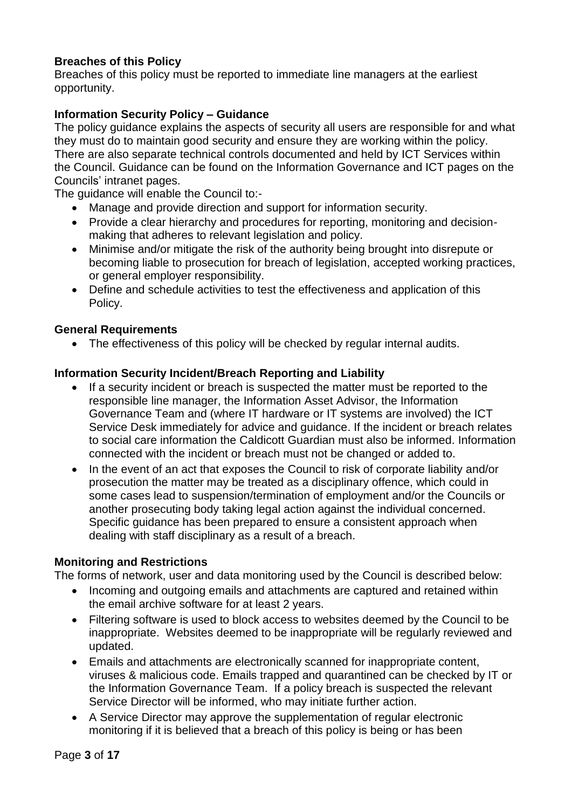# **Breaches of this Policy**

Breaches of this policy must be reported to immediate line managers at the earliest opportunity.

#### **Information Security Policy – Guidance**

The policy guidance explains the aspects of security all users are responsible for and what they must do to maintain good security and ensure they are working within the policy. There are also separate technical controls documented and held by ICT Services within the Council. Guidance can be found on the Information Governance and ICT pages on the Councils' intranet pages.

The guidance will enable the Council to:-

- Manage and provide direction and support for information security.
- Provide a clear hierarchy and procedures for reporting, monitoring and decisionmaking that adheres to relevant legislation and policy.
- Minimise and/or mitigate the risk of the authority being brought into disrepute or becoming liable to prosecution for breach of legislation, accepted working practices, or general employer responsibility.
- Define and schedule activities to test the effectiveness and application of this Policy.

#### **General Requirements**

• The effectiveness of this policy will be checked by regular internal audits.

#### **Information Security Incident/Breach Reporting and Liability**

- If a security incident or breach is suspected the matter must be reported to the responsible line manager, the Information Asset Advisor, the Information Governance Team and (where IT hardware or IT systems are involved) the ICT Service Desk immediately for advice and guidance. If the incident or breach relates to social care information the Caldicott Guardian must also be informed. Information connected with the incident or breach must not be changed or added to.
- In the event of an act that exposes the Council to risk of corporate liability and/or prosecution the matter may be treated as a disciplinary offence, which could in some cases lead to suspension/termination of employment and/or the Councils or another prosecuting body taking legal action against the individual concerned. Specific guidance has been prepared to ensure a consistent approach when dealing with staff disciplinary as a result of a breach.

#### **Monitoring and Restrictions**

The forms of network, user and data monitoring used by the Council is described below:

- Incoming and outgoing emails and attachments are captured and retained within the email archive software for at least 2 years.
- Filtering software is used to block access to websites deemed by the Council to be inappropriate. Websites deemed to be inappropriate will be regularly reviewed and updated.
- Emails and attachments are electronically scanned for inappropriate content, viruses & malicious code. Emails trapped and quarantined can be checked by IT or the Information Governance Team. If a policy breach is suspected the relevant Service Director will be informed, who may initiate further action.
- A Service Director may approve the supplementation of regular electronic monitoring if it is believed that a breach of this policy is being or has been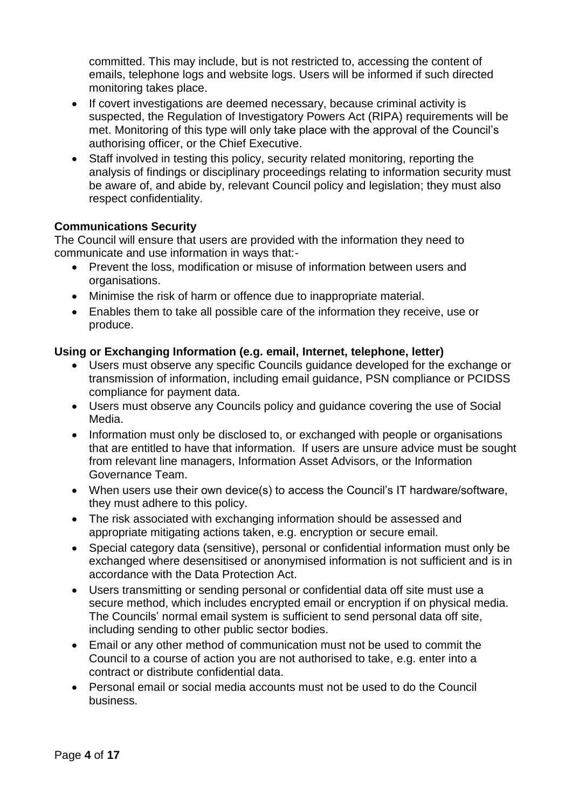committed. This may include, but is not restricted to, accessing the content of emails, telephone logs and website logs. Users will be informed if such directed monitoring takes place.

- If covert investigations are deemed necessary, because criminal activity is suspected, the Regulation of Investigatory Powers Act (RIPA) requirements will be met. Monitoring of this type will only take place with the approval of the Council's authorising officer, or the Chief Executive.
- Staff involved in testing this policy, security related monitoring, reporting the analysis of findings or disciplinary proceedings relating to information security must be aware of, and abide by, relevant Council policy and legislation; they must also respect confidentiality.

# **Communications Security**

The Council will ensure that users are provided with the information they need to communicate and use information in ways that:-

- Prevent the loss, modification or misuse of information between users and organisations.
- Minimise the risk of harm or offence due to inappropriate material.
- Enables them to take all possible care of the information they receive, use or produce.

## **Using or Exchanging Information (e.g. email, Internet, telephone, letter)**

- Users must observe any specific Councils guidance developed for the exchange or transmission of information, including email guidance, PSN compliance or PCIDSS compliance for payment data.
- Users must observe any Councils policy and guidance covering the use of Social Media.
- Information must only be disclosed to, or exchanged with people or organisations that are entitled to have that information. If users are unsure advice must be sought from relevant line managers, Information Asset Advisors, or the Information Governance Team.
- When users use their own device(s) to access the Council's IT hardware/software, they must adhere to this policy.
- The risk associated with exchanging information should be assessed and appropriate mitigating actions taken, e.g. encryption or secure email.
- Special category data (sensitive), personal or confidential information must only be exchanged where desensitised or anonymised information is not sufficient and is in accordance with the Data Protection Act.
- Users transmitting or sending personal or confidential data off site must use a secure method, which includes encrypted email or encryption if on physical media. The Councils' normal email system is sufficient to send personal data off site, including sending to other public sector bodies.
- Email or any other method of communication must not be used to commit the Council to a course of action you are not authorised to take, e.g. enter into a contract or distribute confidential data.
- Personal email or social media accounts must not be used to do the Council business.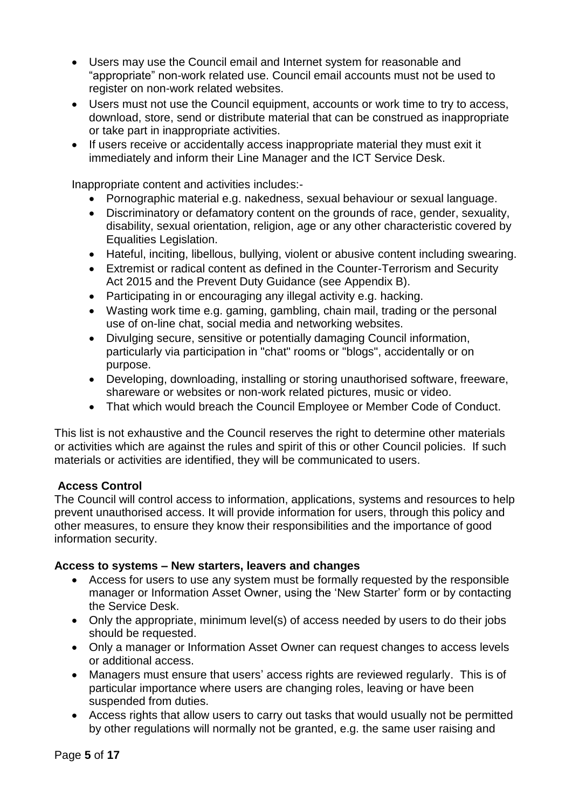- Users may use the Council email and Internet system for reasonable and "appropriate" non-work related use. Council email accounts must not be used to register on non-work related websites.
- Users must not use the Council equipment, accounts or work time to try to access, download, store, send or distribute material that can be construed as inappropriate or take part in inappropriate activities.
- If users receive or accidentally access inappropriate material they must exit it immediately and inform their Line Manager and the ICT Service Desk.

Inappropriate content and activities includes:-

- Pornographic material e.g. nakedness, sexual behaviour or sexual language.
- Discriminatory or defamatory content on the grounds of race, gender, sexuality, disability, sexual orientation, religion, age or any other characteristic covered by Equalities Legislation.
- Hateful, inciting, libellous, bullying, violent or abusive content including swearing.
- Extremist or radical content as defined in the Counter-Terrorism and Security Act 2015 and the Prevent Duty Guidance (see Appendix B).
- Participating in or encouraging any illegal activity e.g. hacking.
- Wasting work time e.g. gaming, gambling, chain mail, trading or the personal use of on-line chat, social media and networking websites.
- Divulging secure, sensitive or potentially damaging Council information, particularly via participation in "chat" rooms or "blogs", accidentally or on purpose.
- Developing, downloading, installing or storing unauthorised software, freeware, shareware or websites or non-work related pictures, music or video.
- That which would breach the Council Employee or Member Code of Conduct.

This list is not exhaustive and the Council reserves the right to determine other materials or activities which are against the rules and spirit of this or other Council policies. If such materials or activities are identified, they will be communicated to users.

#### **Access Control**

The Council will control access to information, applications, systems and resources to help prevent unauthorised access. It will provide information for users, through this policy and other measures, to ensure they know their responsibilities and the importance of good information security.

#### **Access to systems – New starters, leavers and changes**

- Access for users to use any system must be formally requested by the responsible manager or Information Asset Owner, using the 'New Starter' form or by contacting the Service Desk.
- Only the appropriate, minimum level(s) of access needed by users to do their jobs should be requested.
- Only a manager or Information Asset Owner can request changes to access levels or additional access.
- Managers must ensure that users' access rights are reviewed regularly. This is of particular importance where users are changing roles, leaving or have been suspended from duties.
- Access rights that allow users to carry out tasks that would usually not be permitted by other regulations will normally not be granted, e.g. the same user raising and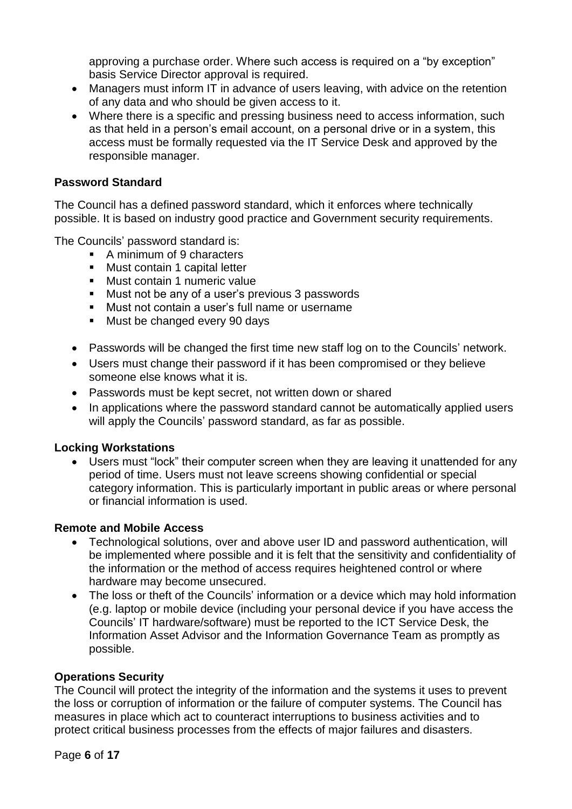approving a purchase order. Where such access is required on a "by exception" basis Service Director approval is required.

- Managers must inform IT in advance of users leaving, with advice on the retention of any data and who should be given access to it.
- Where there is a specific and pressing business need to access information, such as that held in a person's email account, on a personal drive or in a system, this access must be formally requested via the IT Service Desk and approved by the responsible manager.

#### **Password Standard**

The Council has a defined password standard, which it enforces where technically possible. It is based on industry good practice and Government security requirements.

The Councils' password standard is:

- A minimum of 9 characters
- Must contain 1 capital letter
- Must contain 1 numeric value
- Must not be any of a user's previous 3 passwords
- Must not contain a user's full name or username
- Must be changed every 90 days
- Passwords will be changed the first time new staff log on to the Councils' network.
- Users must change their password if it has been compromised or they believe someone else knows what it is.
- Passwords must be kept secret, not written down or shared
- In applications where the password standard cannot be automatically applied users will apply the Councils' password standard, as far as possible.

# **Locking Workstations**

Users must "lock" their computer screen when they are leaving it unattended for any period of time. Users must not leave screens showing confidential or special category information. This is particularly important in public areas or where personal or financial information is used.

# **Remote and Mobile Access**

- Technological solutions, over and above user ID and password authentication, will be implemented where possible and it is felt that the sensitivity and confidentiality of the information or the method of access requires heightened control or where hardware may become unsecured.
- The loss or theft of the Councils' information or a device which may hold information (e.g. laptop or mobile device (including your personal device if you have access the Councils' IT hardware/software) must be reported to the ICT Service Desk, the Information Asset Advisor and the Information Governance Team as promptly as possible.

# **Operations Security**

The Council will protect the integrity of the information and the systems it uses to prevent the loss or corruption of information or the failure of computer systems. The Council has measures in place which act to counteract interruptions to business activities and to protect critical business processes from the effects of major failures and disasters.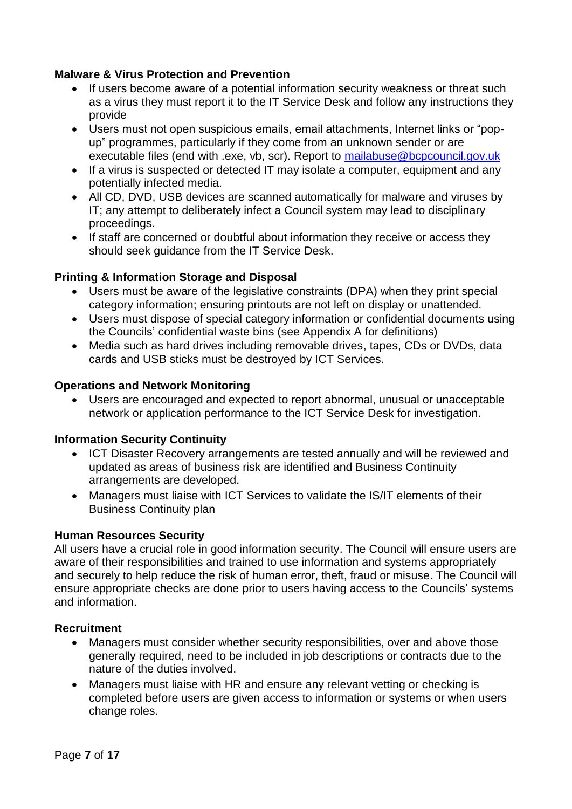# **Malware & Virus Protection and Prevention**

- If users become aware of a potential information security weakness or threat such as a virus they must report it to the IT Service Desk and follow any instructions they provide
- Users must not open suspicious emails, email attachments, Internet links or "popup" programmes, particularly if they come from an unknown sender or are executable files (end with .exe, vb, scr). Report to [mailabuse@bcpcouncil.gov.uk](mailto:mailabuse@bcpcouncil.gov.uk)
- If a virus is suspected or detected IT may isolate a computer, equipment and any potentially infected media.
- All CD, DVD, USB devices are scanned automatically for malware and viruses by IT; any attempt to deliberately infect a Council system may lead to disciplinary proceedings.
- If staff are concerned or doubtful about information they receive or access they should seek guidance from the IT Service Desk.

#### **Printing & Information Storage and Disposal**

- Users must be aware of the legislative constraints (DPA) when they print special category information; ensuring printouts are not left on display or unattended.
- Users must dispose of special category information or confidential documents using the Councils' confidential waste bins (see Appendix A for definitions)
- Media such as hard drives including removable drives, tapes, CDs or DVDs, data cards and USB sticks must be destroyed by ICT Services.

#### **Operations and Network Monitoring**

• Users are encouraged and expected to report abnormal, unusual or unacceptable network or application performance to the ICT Service Desk for investigation.

#### **Information Security Continuity**

- ICT Disaster Recovery arrangements are tested annually and will be reviewed and updated as areas of business risk are identified and Business Continuity arrangements are developed.
- Managers must liaise with ICT Services to validate the IS/IT elements of their Business Continuity plan

#### **Human Resources Security**

All users have a crucial role in good information security. The Council will ensure users are aware of their responsibilities and trained to use information and systems appropriately and securely to help reduce the risk of human error, theft, fraud or misuse. The Council will ensure appropriate checks are done prior to users having access to the Councils' systems and information.

#### **Recruitment**

- Managers must consider whether security responsibilities, over and above those generally required, need to be included in job descriptions or contracts due to the nature of the duties involved.
- Managers must liaise with HR and ensure any relevant vetting or checking is completed before users are given access to information or systems or when users change roles.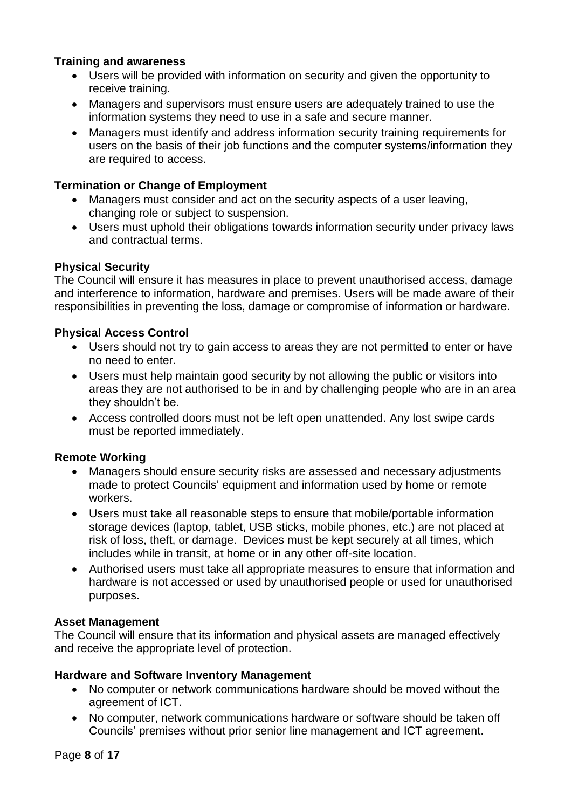# **Training and awareness**

- Users will be provided with information on security and given the opportunity to receive training.
- Managers and supervisors must ensure users are adequately trained to use the information systems they need to use in a safe and secure manner.
- Managers must identify and address information security training requirements for users on the basis of their job functions and the computer systems/information they are required to access.

# **Termination or Change of Employment**

- Managers must consider and act on the security aspects of a user leaving, changing role or subject to suspension.
- Users must uphold their obligations towards information security under privacy laws and contractual terms.

## **Physical Security**

The Council will ensure it has measures in place to prevent unauthorised access, damage and interference to information, hardware and premises. Users will be made aware of their responsibilities in preventing the loss, damage or compromise of information or hardware.

## **Physical Access Control**

- Users should not try to gain access to areas they are not permitted to enter or have no need to enter.
- Users must help maintain good security by not allowing the public or visitors into areas they are not authorised to be in and by challenging people who are in an area they shouldn't be.
- Access controlled doors must not be left open unattended. Any lost swipe cards must be reported immediately.

#### **Remote Working**

- Managers should ensure security risks are assessed and necessary adjustments made to protect Councils' equipment and information used by home or remote workers.
- Users must take all reasonable steps to ensure that mobile/portable information storage devices (laptop, tablet, USB sticks, mobile phones, etc.) are not placed at risk of loss, theft, or damage. Devices must be kept securely at all times, which includes while in transit, at home or in any other off-site location.
- Authorised users must take all appropriate measures to ensure that information and hardware is not accessed or used by unauthorised people or used for unauthorised purposes.

#### **Asset Management**

The Council will ensure that its information and physical assets are managed effectively and receive the appropriate level of protection.

#### **Hardware and Software Inventory Management**

- No computer or network communications hardware should be moved without the agreement of ICT.
- No computer, network communications hardware or software should be taken off Councils' premises without prior senior line management and ICT agreement.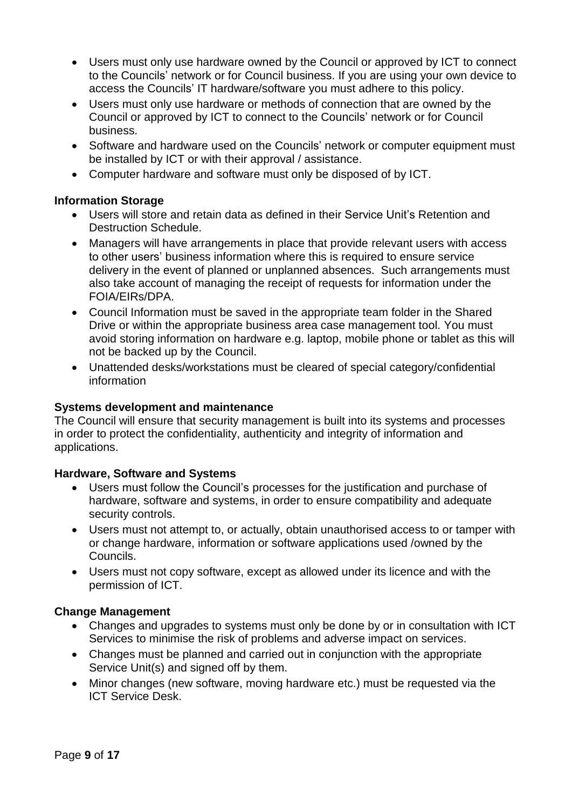- Users must only use hardware owned by the Council or approved by ICT to connect to the Councils' network or for Council business. If you are using your own device to access the Councils' IT hardware/software you must adhere to this policy.
- Users must only use hardware or methods of connection that are owned by the Council or approved by ICT to connect to the Councils' network or for Council business.
- Software and hardware used on the Councils' network or computer equipment must be installed by ICT or with their approval / assistance.
- Computer hardware and software must only be disposed of by ICT.

## **Information Storage**

- Users will store and retain data as defined in their Service Unit's Retention and Destruction Schedule.
- Managers will have arrangements in place that provide relevant users with access to other users' business information where this is required to ensure service delivery in the event of planned or unplanned absences. Such arrangements must also take account of managing the receipt of requests for information under the FOIA/EIRs/DPA.
- Council Information must be saved in the appropriate team folder in the Shared Drive or within the appropriate business area case management tool. You must avoid storing information on hardware e.g. laptop, mobile phone or tablet as this will not be backed up by the Council.
- Unattended desks/workstations must be cleared of special category/confidential information

#### **Systems development and maintenance**

The Council will ensure that security management is built into its systems and processes in order to protect the confidentiality, authenticity and integrity of information and applications.

#### **Hardware, Software and Systems**

- Users must follow the Council's processes for the justification and purchase of hardware, software and systems, in order to ensure compatibility and adequate security controls.
- Users must not attempt to, or actually, obtain unauthorised access to or tamper with or change hardware, information or software applications used /owned by the Councils.
- Users must not copy software, except as allowed under its licence and with the permission of ICT.

#### **Change Management**

- Changes and upgrades to systems must only be done by or in consultation with ICT Services to minimise the risk of problems and adverse impact on services.
- Changes must be planned and carried out in conjunction with the appropriate Service Unit(s) and signed off by them.
- Minor changes (new software, moving hardware etc.) must be requested via the ICT Service Desk.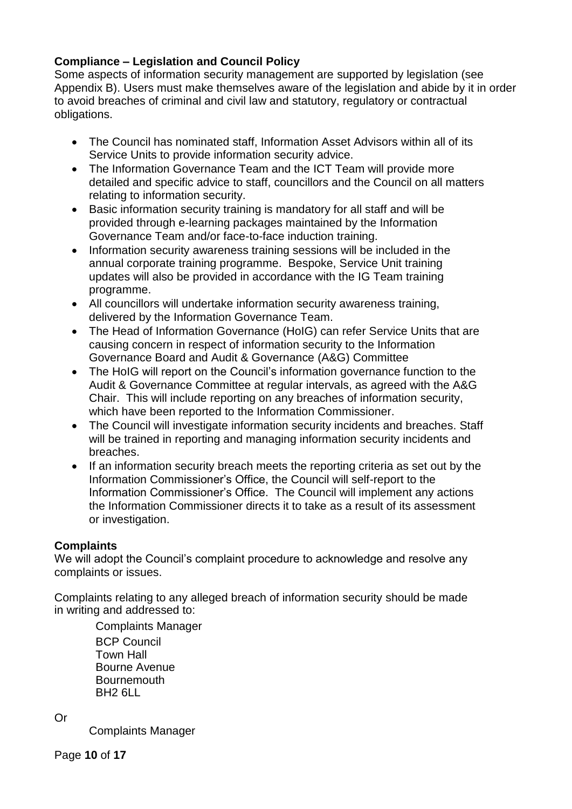# **Compliance – Legislation and Council Policy**

Some aspects of information security management are supported by legislation (see Appendix B). Users must make themselves aware of the legislation and abide by it in order to avoid breaches of criminal and civil law and statutory, regulatory or contractual obligations.

- The Council has nominated staff, Information Asset Advisors within all of its Service Units to provide information security advice.
- The Information Governance Team and the ICT Team will provide more detailed and specific advice to staff, councillors and the Council on all matters relating to information security.
- Basic information security training is mandatory for all staff and will be provided through e-learning packages maintained by the Information Governance Team and/or face-to-face induction training.
- Information security awareness training sessions will be included in the annual corporate training programme. Bespoke, Service Unit training updates will also be provided in accordance with the IG Team training programme.
- All councillors will undertake information security awareness training, delivered by the Information Governance Team.
- The Head of Information Governance (HoIG) can refer Service Units that are causing concern in respect of information security to the Information Governance Board and Audit & Governance (A&G) Committee
- The HoIG will report on the Council's information governance function to the Audit & Governance Committee at regular intervals, as agreed with the A&G Chair. This will include reporting on any breaches of information security, which have been reported to the Information Commissioner.
- The Council will investigate information security incidents and breaches. Staff will be trained in reporting and managing information security incidents and breaches.
- If an information security breach meets the reporting criteria as set out by the Information Commissioner's Office, the Council will self-report to the Information Commissioner's Office. The Council will implement any actions the Information Commissioner directs it to take as a result of its assessment or investigation.

# **Complaints**

We will adopt the Council's complaint procedure to acknowledge and resolve any complaints or issues.

Complaints relating to any alleged breach of information security should be made in writing and addressed to:

Complaints Manager BCP Council Town Hall Bourne Avenue **Bournemouth** BH2 6LL

Or

Complaints Manager

Page **10** of **17**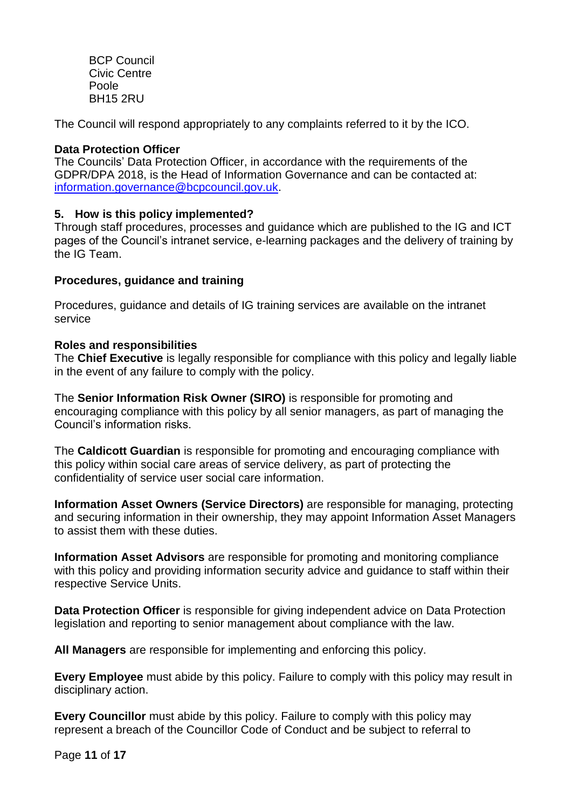BCP Council Civic Centre Poole BH15 2RU

The Council will respond appropriately to any complaints referred to it by the ICO.

#### **Data Protection Officer**

The Councils' Data Protection Officer, in accordance with the requirements of the GDPR/DPA 2018, is the Head of Information Governance and can be contacted at: [information.governance@bcpcouncil.gov.uk.](mailto:information.governance@bcpcouncil.gov.uk)

## **5. How is this policy implemented?**

Through staff procedures, processes and guidance which are published to the IG and ICT pages of the Council's intranet service, e-learning packages and the delivery of training by the IG Team.

## **Procedures, guidance and training**

Procedures, guidance and details of IG training services are available on the intranet service

#### **Roles and responsibilities**

The **Chief Executive** is legally responsible for compliance with this policy and legally liable in the event of any failure to comply with the policy.

The **Senior Information Risk Owner (SIRO)** is responsible for promoting and encouraging compliance with this policy by all senior managers, as part of managing the Council's information risks.

The **Caldicott Guardian** is responsible for promoting and encouraging compliance with this policy within social care areas of service delivery, as part of protecting the confidentiality of service user social care information.

**Information Asset Owners (Service Directors)** are responsible for managing, protecting and securing information in their ownership, they may appoint Information Asset Managers to assist them with these duties.

**Information Asset Advisors** are responsible for promoting and monitoring compliance with this policy and providing information security advice and quidance to staff within their respective Service Units.

**Data Protection Officer** is responsible for giving independent advice on Data Protection legislation and reporting to senior management about compliance with the law.

**All Managers** are responsible for implementing and enforcing this policy.

**Every Employee** must abide by this policy. Failure to comply with this policy may result in disciplinary action.

**Every Councillor** must abide by this policy. Failure to comply with this policy may represent a breach of the Councillor Code of Conduct and be subject to referral to

Page **11** of **17**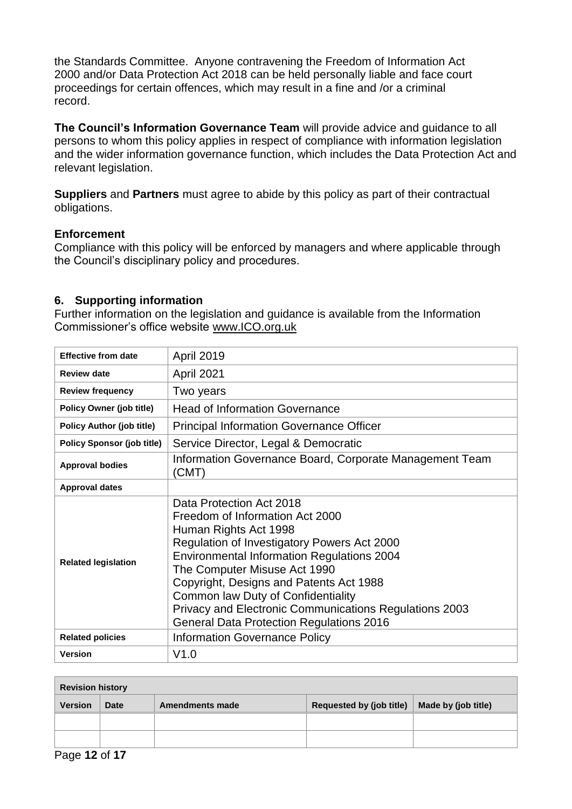the Standards Committee. Anyone contravening the Freedom of Information Act 2000 and/or Data Protection Act 2018 can be held personally liable and face court proceedings for certain offences, which may result in a fine and /or a criminal record.

**The Council's Information Governance Team** will provide advice and guidance to all persons to whom this policy applies in respect of compliance with information legislation and the wider information governance function, which includes the Data Protection Act and relevant legislation.

**Suppliers** and **Partners** must agree to abide by this policy as part of their contractual obligations.

#### **Enforcement**

Compliance with this policy will be enforced by managers and where applicable through the Council's disciplinary policy and procedures.

## **6. Supporting information**

Further information on the legislation and guidance is available from the Information Commissioner's office website [www.ICO.org.uk](http://www.ico.org.uk/)

| <b>Effective from date</b>        | <b>April 2019</b>                                                                                                                                                                                                                                                                                                                                                                                                      |  |
|-----------------------------------|------------------------------------------------------------------------------------------------------------------------------------------------------------------------------------------------------------------------------------------------------------------------------------------------------------------------------------------------------------------------------------------------------------------------|--|
| <b>Review date</b>                | April 2021                                                                                                                                                                                                                                                                                                                                                                                                             |  |
| <b>Review frequency</b>           | Two years                                                                                                                                                                                                                                                                                                                                                                                                              |  |
| <b>Policy Owner (job title)</b>   | <b>Head of Information Governance</b>                                                                                                                                                                                                                                                                                                                                                                                  |  |
| <b>Policy Author (job title)</b>  | <b>Principal Information Governance Officer</b>                                                                                                                                                                                                                                                                                                                                                                        |  |
| <b>Policy Sponsor (job title)</b> | Service Director, Legal & Democratic                                                                                                                                                                                                                                                                                                                                                                                   |  |
| <b>Approval bodies</b>            | Information Governance Board, Corporate Management Team<br>(CMT)                                                                                                                                                                                                                                                                                                                                                       |  |
| <b>Approval dates</b>             |                                                                                                                                                                                                                                                                                                                                                                                                                        |  |
| <b>Related legislation</b>        | Data Protection Act 2018<br>Freedom of Information Act 2000<br>Human Rights Act 1998<br>Regulation of Investigatory Powers Act 2000<br><b>Environmental Information Regulations 2004</b><br>The Computer Misuse Act 1990<br>Copyright, Designs and Patents Act 1988<br>Common law Duty of Confidentiality<br>Privacy and Electronic Communications Regulations 2003<br><b>General Data Protection Regulations 2016</b> |  |
| <b>Related policies</b>           | <b>Information Governance Policy</b>                                                                                                                                                                                                                                                                                                                                                                                   |  |
| <b>Version</b>                    | V1.0                                                                                                                                                                                                                                                                                                                                                                                                                   |  |

| <b>Revision history</b> |      |                 |                                 |                     |
|-------------------------|------|-----------------|---------------------------------|---------------------|
| Version                 | Date | Amendments made | <b>Requested by (job title)</b> | Made by (job title) |
|                         |      |                 |                                 |                     |
|                         |      |                 |                                 |                     |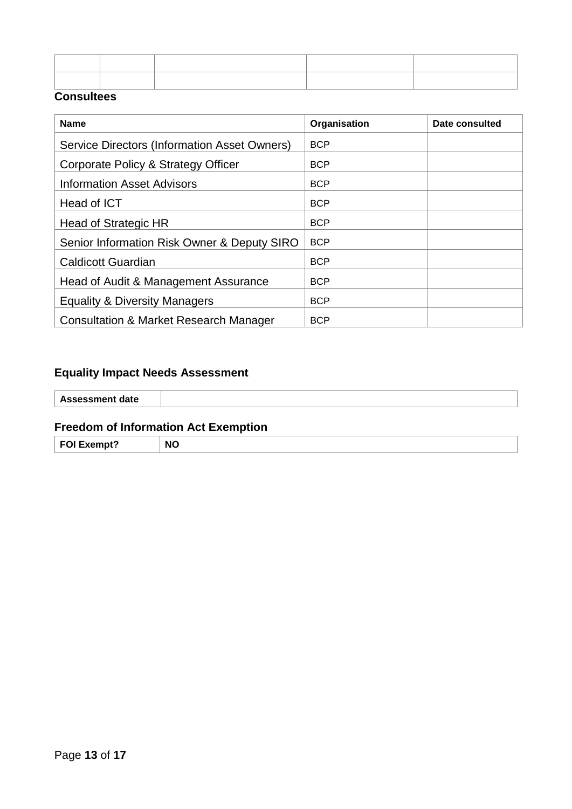| ,我们也不会不会不会。""我们的,我们也不会不会不会。""我们的,我们也不会不会不会不会。""我们的,我们也不会不会不会不会。""我们的,我们也不会不会不会不会 |  |
|----------------------------------------------------------------------------------|--|

## **Consultees**

| <b>Name</b>                                       | Organisation | Date consulted |
|---------------------------------------------------|--------------|----------------|
| Service Directors (Information Asset Owners)      | <b>BCP</b>   |                |
| Corporate Policy & Strategy Officer               | <b>BCP</b>   |                |
| <b>Information Asset Advisors</b>                 | <b>BCP</b>   |                |
| Head of ICT                                       | <b>BCP</b>   |                |
| Head of Strategic HR                              | <b>BCP</b>   |                |
| Senior Information Risk Owner & Deputy SIRO       | <b>BCP</b>   |                |
| <b>Caldicott Guardian</b>                         | <b>BCP</b>   |                |
| Head of Audit & Management Assurance              | <b>BCP</b>   |                |
| <b>Equality &amp; Diversity Managers</b>          | <b>BCP</b>   |                |
| <b>Consultation &amp; Market Research Manager</b> | <b>BCP</b>   |                |

# **Equality Impact Needs Assessment**

| <b>Assessment date</b> |  |
|------------------------|--|
|                        |  |
|                        |  |

# **Freedom of Information Act Exemption**

| <b>FAI</b><br>$\sim$ $\sim$ $\sim$ $\sim$ $\sim$ $\sim$ $\sim$ $\sim$<br>ונם<br>2 2 2 | N <sup>c</sup><br>$\sim$ |  |
|---------------------------------------------------------------------------------------|--------------------------|--|
|---------------------------------------------------------------------------------------|--------------------------|--|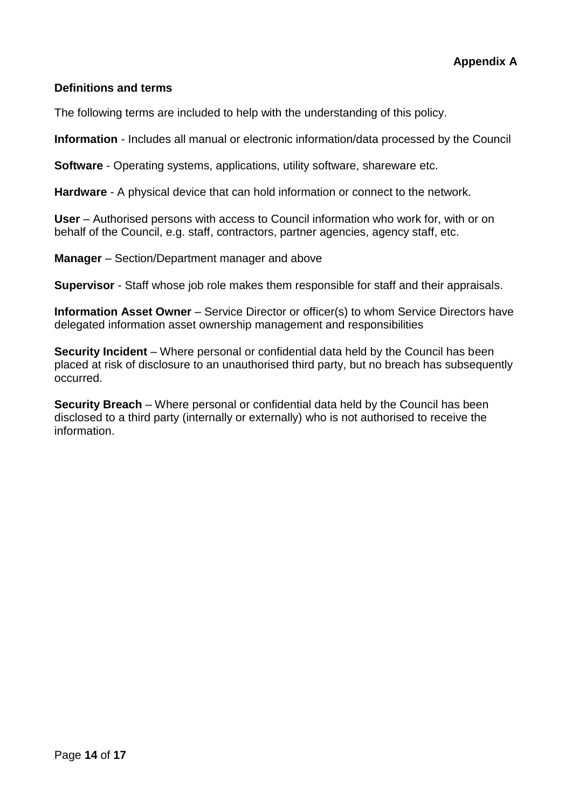# **Definitions and terms**

The following terms are included to help with the understanding of this policy.

**Information** - Includes all manual or electronic information/data processed by the Council

**Software** - Operating systems, applications, utility software, shareware etc.

**Hardware** - A physical device that can hold information or connect to the network.

**User** – Authorised persons with access to Council information who work for, with or on behalf of the Council, e.g. staff, contractors, partner agencies, agency staff, etc.

**Manager** – Section/Department manager and above

**Supervisor** - Staff whose job role makes them responsible for staff and their appraisals.

**Information Asset Owner** – Service Director or officer(s) to whom Service Directors have delegated information asset ownership management and responsibilities

**Security Incident** – Where personal or confidential data held by the Council has been placed at risk of disclosure to an unauthorised third party, but no breach has subsequently occurred.

**Security Breach** – Where personal or confidential data held by the Council has been disclosed to a third party (internally or externally) who is not authorised to receive the information.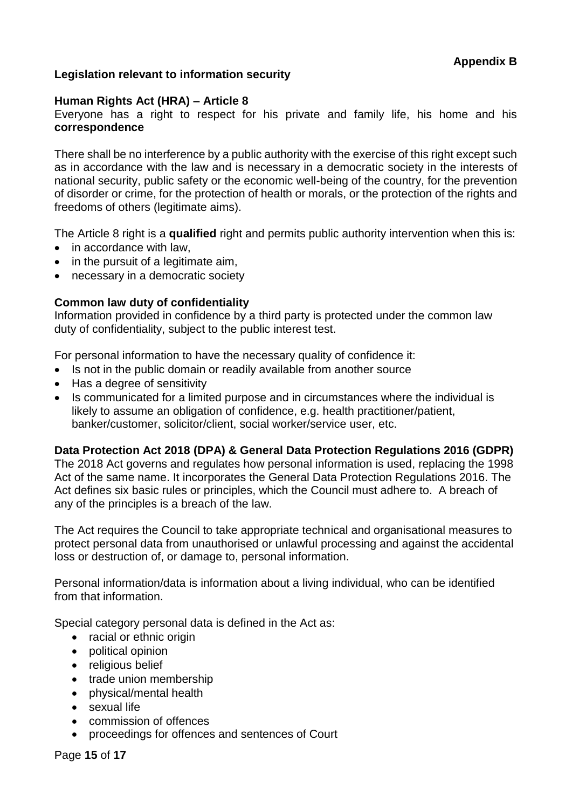# **Legislation relevant to information security**

#### **Human Rights Act (HRA) – Article 8**

Everyone has a right to respect for his private and family life, his home and his **correspondence**

There shall be no interference by a public authority with the exercise of this right except such as in accordance with the law and is necessary in a democratic society in the interests of national security, public safety or the economic well-being of the country, for the prevention of disorder or crime, for the protection of health or morals, or the protection of the rights and freedoms of others (legitimate aims).

The Article 8 right is a **qualified** right and permits public authority intervention when this is:

- in accordance with law.
- in the pursuit of a legitimate aim,
- necessary in a democratic society

# **Common law duty of confidentiality**

Information provided in confidence by a third party is protected under the common law duty of confidentiality, subject to the public interest test.

For personal information to have the necessary quality of confidence it:

- Is not in the public domain or readily available from another source
- Has a degree of sensitivity
- Is communicated for a limited purpose and in circumstances where the individual is likely to assume an obligation of confidence, e.g. health practitioner/patient, banker/customer, solicitor/client, social worker/service user, etc.

#### **Data Protection Act 2018 (DPA) & General Data Protection Regulations 2016 (GDPR)**

The 2018 Act governs and regulates how personal information is used, replacing the 1998 Act of the same name. It incorporates the General Data Protection Regulations 2016. The Act defines six basic rules or principles, which the Council must adhere to. A breach of any of the principles is a breach of the law.

The Act requires the Council to take appropriate technical and organisational measures to protect personal data from unauthorised or unlawful processing and against the accidental loss or destruction of, or damage to, personal information.

Personal information/data is information about a living individual, who can be identified from that information.

Special category personal data is defined in the Act as:

- racial or ethnic origin
- political opinion
- religious belief
- trade union membership
- physical/mental health
- sexual life
- commission of offences
- proceedings for offences and sentences of Court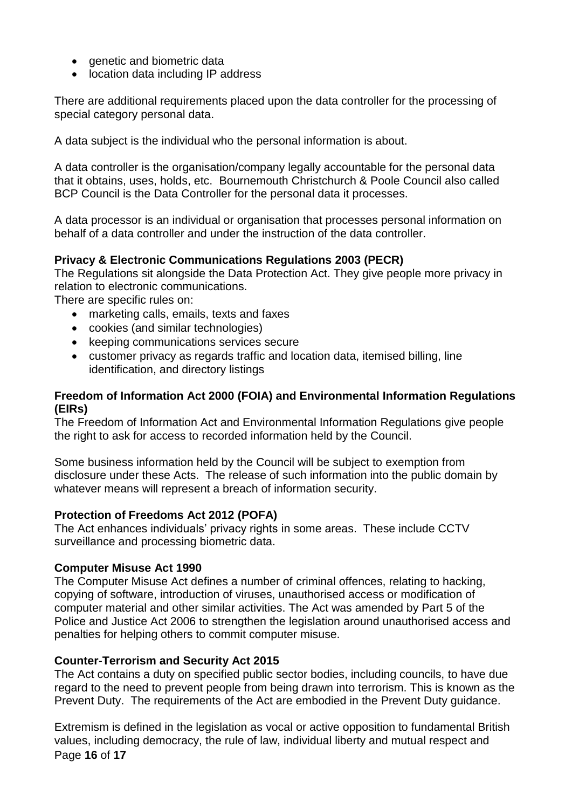- genetic and biometric data
- location data including IP address

There are additional requirements placed upon the data controller for the processing of special category personal data.

A data subject is the individual who the personal information is about.

A data controller is the organisation/company legally accountable for the personal data that it obtains, uses, holds, etc. Bournemouth Christchurch & Poole Council also called BCP Council is the Data Controller for the personal data it processes.

A data processor is an individual or organisation that processes personal information on behalf of a data controller and under the instruction of the data controller.

## **Privacy & Electronic Communications Regulations 2003 (PECR)**

The Regulations sit alongside the Data Protection Act. They give people more privacy in relation to electronic communications.

There are specific rules on:

- marketing calls, emails, texts and faxes
- cookies (and similar technologies)
- keeping communications services secure
- customer privacy as regards traffic and location data, itemised billing, line identification, and directory listings

## **Freedom of Information Act 2000 (FOIA) and Environmental Information Regulations (EIRs)**

The Freedom of Information Act and Environmental Information Regulations give people the right to ask for access to recorded information held by the Council.

Some business information held by the Council will be subject to exemption from disclosure under these Acts. The release of such information into the public domain by whatever means will represent a breach of information security.

#### **Protection of Freedoms Act 2012 (POFA)**

The Act enhances individuals' privacy rights in some areas. These include CCTV surveillance and processing biometric data.

#### **Computer Misuse Act 1990**

The Computer Misuse Act defines a number of criminal offences, relating to hacking, copying of software, introduction of viruses, unauthorised access or modification of computer material and other similar activities. The Act was amended by Part 5 of the Police and Justice Act 2006 to strengthen the legislation around unauthorised access and penalties for helping others to commit computer misuse.

#### **Counter**-**Terrorism and Security Act 2015**

The Act contains a duty on specified public sector bodies, including councils, to have due regard to the need to prevent people from being drawn into terrorism. This is known as the Prevent Duty. The requirements of the Act are embodied in the Prevent Duty guidance.

Page **16** of **17** Extremism is defined in the legislation as vocal or active opposition to fundamental British values, including democracy, the rule of law, individual liberty and mutual respect and